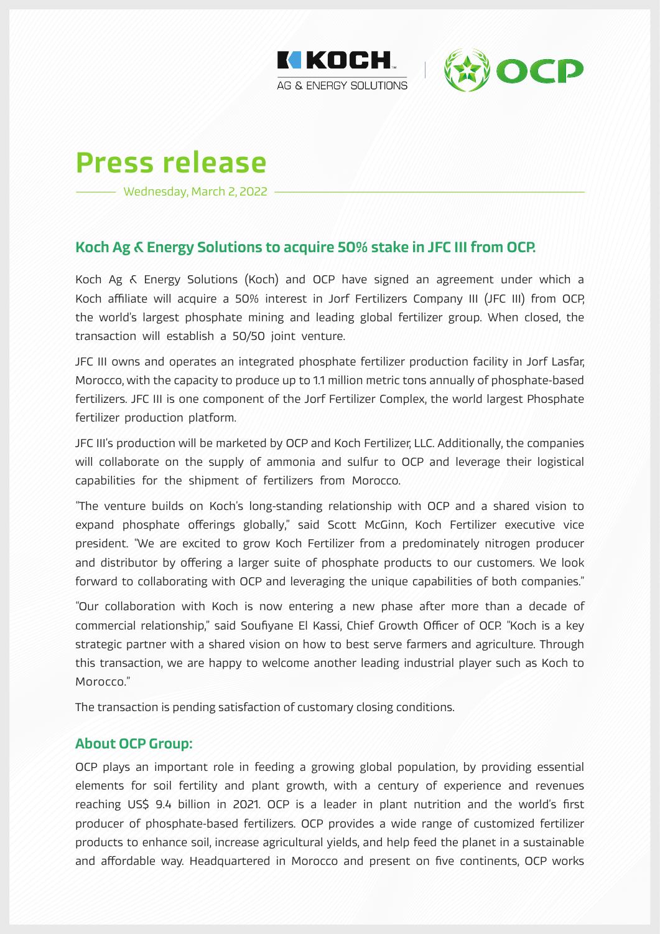



# Press release

Wednesday, March 2, 2022

## Koch Ag & Energy Solutions to acquire 50% stake in JFC III from OCP.

Koch Ag & Energy Solutions (Koch) and OCP have signed an agreement under which a Koch affiliate will acquire a 50% interest in Jorf Fertilizers Company III (JFC III) from OCP, the world's largest phosphate mining and leading global fertilizer group. When closed, the transaction will establish a 50/50 joint venture.

JFC III owns and operates an integrated phosphate fertilizer production facility in Jorf Lasfar, Morocco, with the capacity to produce up to 1.1 million metric tons annually of phosphate-based fertilizers. JFC III is one component of the Jorf Fertilizer Complex, the world largest Phosphate fertilizer production platform.

JFC III's production will be marketed by OCP and Koch Fertilizer, LLC. Additionally, the companies will collaborate on the supply of ammonia and sulfur to OCP and leverage their logistical capabilities for the shipment of fertilizers from Morocco.

"The venture builds on Koch's long-standing relationship with OCP and a shared vision to expand phosphate offerings globally," said Scott McGinn, Koch Fertilizer executive vice president. "We are excited to grow Koch Fertilizer from a predominately nitrogen producer and distributor by offering a larger suite of phosphate products to our customers. We look forward to collaborating with OCP and leveraging the unique capabilities of both companies."

"Our collaboration with Koch is now entering a new phase after more than a decade of commercial relationship," said Soufiyane El Kassi, Chief Growth Officer of OCP. "Koch is a key strategic partner with a shared vision on how to best serve farmers and agriculture. Through this transaction, we are happy to welcome another leading industrial player such as Koch to Morocco."

The transaction is pending satisfaction of customary closing conditions.

## About OCP Group:

OCP plays an important role in feeding a growing global population, by providing essential elements for soil fertility and plant growth, with a century of experience and revenues reaching US\$ 9.4 billion in 2021. OCP is a leader in plant nutrition and the world's first producer of phosphate-based fertilizers. OCP provides a wide range of customized fertilizer products to enhance soil, increase agricultural yields, and help feed the planet in a sustainable and affordable way. Headquartered in Morocco and present on five continents, OCP works